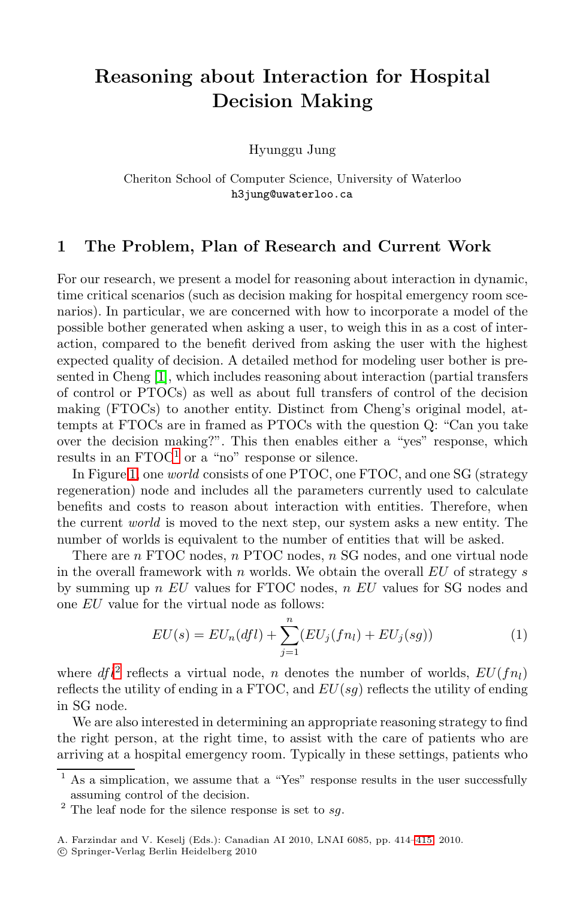## **Reasoning about Interaction for Hospital Decision Making**

Hyunggu Jung

Cheriton School of Computer Science, University of Waterloo h3jung@uwaterloo.ca

## **1 The Problem, Plan of Research and Current Work**

For our research, we present a model for reasoning about interaction in dynamic, time critical scenarios (such as decision making for hospital emergency room scenarios). In particular, we are concerned with how to incorporate a model of the [po](#page-0-0)ssible bother generated when asking a user, to weigh this in as a cost of interaction, compared to the benefit derived from asking the user with the highest expected quality of decision. A detailed method for modeling user bother is presented in Cheng [1], which includes reasoning about interaction (partial transfers of control or PTOCs) as well as about full transfers of control of the decision making (FTOCs) to another entity. Distinct from Cheng's original model, attempts at FTOCs are in framed as PTOCs with the question Q: "Can you take over the decision making?". This then enables either a "yes" response, which results in an FTOC<sup>1</sup> or a "no" response or silence.

In Figure 1, one *world* consists of one PTOC, one FTOC, and one SG (strategy regeneration) node and includes all the parameters currently used to calculate benefits and costs to reason about interaction with entities. Therefore, when the current *world* is moved to the next step, our system asks a new entity. The number of worlds is equivalent to the number of entities that will be asked.

There are *n* FTOC nodes, *n* PTOC nodes, *n* SG nodes, and one virtual node in the overall framework with *n* worlds. We obtain the overall *EU* of strategy *s* by summing up *n EU* values for FTOC nodes, *n EU* values for SG nodes and one *EU* value for the virtual node as follows:

$$
EU(s) = EU_n(dfl) + \sum_{j=1}^{n} (EU_j(fn_l) + EU_j(sg))
$$
 (1)

<span id="page-0-0"></span>where  $d\mathcal{H}^2$  reflects a virtual node, *n* denotes the number of worlds,  $EU(fn)$ reflects the utility of ending in a FTOC, and *EU*(*sg*) reflects the utility of ending in SG node.

We are also interested in determining a[n](#page-1-0) [ap](#page-1-0)propriate reasoning strategy to find the right person, at the right time, to assist with the care of patients who are arriving at a hospital emergency room. Typically in these settings, patients who

 $<sup>1</sup>$  As a simplication, we assume that a "Yes" response results in the user successfully</sup> assuming control of the decision.

 $2$  The leaf node for the silence response is set to *sg*.

A. Farzindar and V. Keselj (Eds.): Canadian AI 2010, LNAI 6085, pp. 414–415, 2010.

<sup>-</sup>c Springer-Verlag Berlin Heidelberg 2010